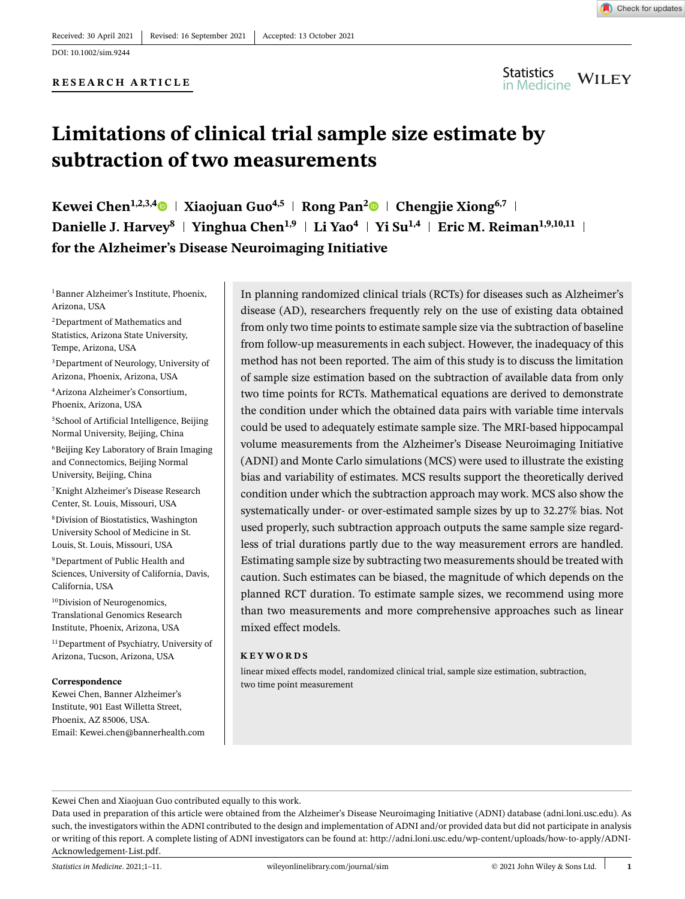DOI: 10.1002/sim.9244

#### **RESEARCH ARTICLE**



# **Limitations of clinical trial sample size estimate by subtraction of two measurements**

**Kewei Chen<sup>1,2,3,[4](https://orcid.org/0000-0001-8497-3069)</sup>**  $\bullet$  **| Xiaojuan Guo<sup>4,5</sup> | Rong Pan<sup>[2](https://orcid.org/0000-0001-5171-8248)</sup>** $\bullet$  **| Chengjie Xiong<sup>6,7</sup> | Danielle J. Harvey**<sup>8</sup> | **Yinghua Chen<sup>1,9</sup> | Li Yao<sup>4</sup> | Yi Su<sup>1,4</sup> | Eric M. Reiman<sup>1,9,10,11</sup> | for the Alzheimer's Disease Neuroimaging Initiative**

<sup>1</sup>Banner Alzheimer's Institute, Phoenix, Arizona, USA

2Department of Mathematics and Statistics, Arizona State University, Tempe, Arizona, USA

3Department of Neurology, University of Arizona, Phoenix, Arizona, USA

4Arizona Alzheimer's Consortium, Phoenix, Arizona, USA

<sup>5</sup>School of Artificial Intelligence, Beijing Normal University, Beijing, China

6Beijing Key Laboratory of Brain Imaging and Connectomics, Beijing Normal University, Beijing, China

7Knight Alzheimer's Disease Research Center, St. Louis, Missouri, USA

8Division of Biostatistics, Washington University School of Medicine in St. Louis, St. Louis, Missouri, USA

9Department of Public Health and Sciences, University of California, Davis, California, USA

<sup>10</sup>Division of Neurogenomics, Translational Genomics Research Institute, Phoenix, Arizona, USA

11Department of Psychiatry, University of Arizona, Tucson, Arizona, USA

#### **Correspondence**

Kewei Chen, Banner Alzheimer's Institute, 901 East Willetta Street, Phoenix, AZ 85006, USA. Email: Kewei.chen@bannerhealth.com In planning randomized clinical trials (RCTs) for diseases such as Alzheimer's disease (AD), researchers frequently rely on the use of existing data obtained from only two time points to estimate sample size via the subtraction of baseline from follow-up measurements in each subject. However, the inadequacy of this method has not been reported. The aim of this study is to discuss the limitation of sample size estimation based on the subtraction of available data from only two time points for RCTs. Mathematical equations are derived to demonstrate the condition under which the obtained data pairs with variable time intervals could be used to adequately estimate sample size. The MRI-based hippocampal volume measurements from the Alzheimer's Disease Neuroimaging Initiative (ADNI) and Monte Carlo simulations (MCS) were used to illustrate the existing bias and variability of estimates. MCS results support the theoretically derived condition under which the subtraction approach may work. MCS also show the systematically under- or over-estimated sample sizes by up to 32.27% bias. Not used properly, such subtraction approach outputs the same sample size regardless of trial durations partly due to the way measurement errors are handled. Estimating sample size by subtracting two measurements should be treated with caution. Such estimates can be biased, the magnitude of which depends on the planned RCT duration. To estimate sample sizes, we recommend using more than two measurements and more comprehensive approaches such as linear mixed effect models.

#### **KEYWORDS**

linear mixed effects model, randomized clinical trial, sample size estimation, subtraction, two time point measurement

Kewei Chen and Xiaojuan Guo contributed equally to this work.

Data used in preparation of this article were obtained from the Alzheimer's Disease Neuroimaging Initiative (ADNI) database (adni.loni.usc.edu). As such, the investigators within the ADNI contributed to the design and implementation of ADNI and/or provided data but did not participate in analysis or writing of this report. A complete listing of ADNI investigators can be found at: [http://adni.loni.usc.edu/wp-content/uploads/how-to-apply/ADNI-](http://adni.loni.usc.edu/wp-content/uploads/how/to/apply/ADNI/Acknowledgement/List.pdf)[Acknowledgement-List.pdf.](http://adni.loni.usc.edu/wp-content/uploads/how/to/apply/ADNI/Acknowledgement/List.pdf)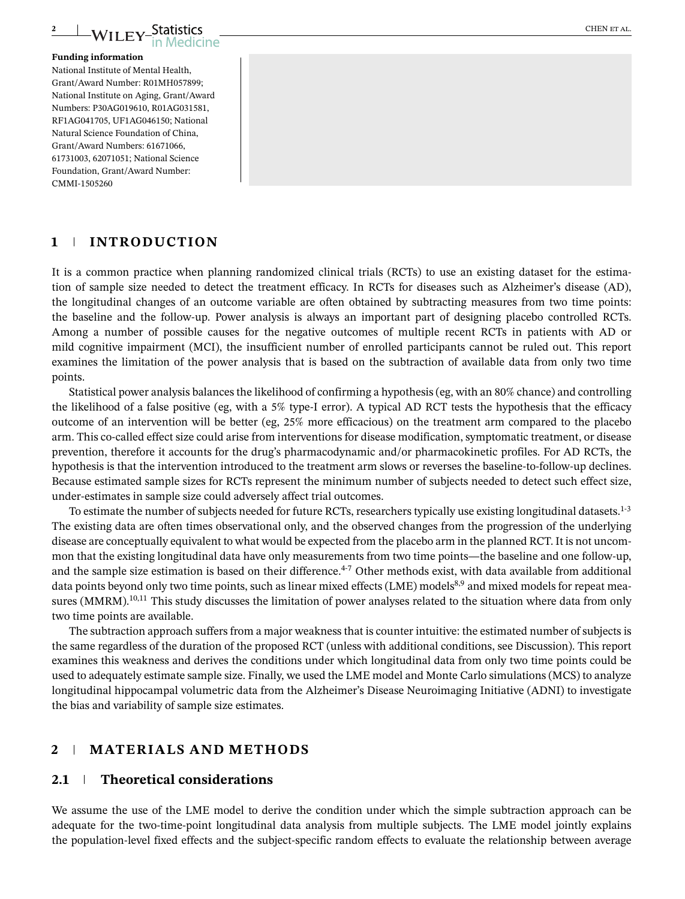

#### **Funding information**

National Institute of Mental Health, Grant/Award Number: R01MH057899; National Institute on Aging, Grant/Award Numbers: P30AG019610, R01AG031581, RF1AG041705, UF1AG046150; National Natural Science Foundation of China, Grant/Award Numbers: 61671066, 61731003, 62071051; National Science Foundation, Grant/Award Number: CMMI-1505260

### **1 INTRODUCTION**

It is a common practice when planning randomized clinical trials (RCTs) to use an existing dataset for the estimation of sample size needed to detect the treatment efficacy. In RCTs for diseases such as Alzheimer's disease (AD), the longitudinal changes of an outcome variable are often obtained by subtracting measures from two time points: the baseline and the follow-up. Power analysis is always an important part of designing placebo controlled RCTs. Among a number of possible causes for the negative outcomes of multiple recent RCTs in patients with AD or mild cognitive impairment (MCI), the insufficient number of enrolled participants cannot be ruled out. This report examines the limitation of the power analysis that is based on the subtraction of available data from only two time points.

Statistical power analysis balances the likelihood of confirming a hypothesis (eg, with an 80% chance) and controlling the likelihood of a false positive (eg, with a 5% type-I error). A typical AD RCT tests the hypothesis that the efficacy outcome of an intervention will be better (eg, 25% more efficacious) on the treatment arm compared to the placebo arm. This co-called effect size could arise from interventions for disease modification, symptomatic treatment, or disease prevention, therefore it accounts for the drug's pharmacodynamic and/or pharmacokinetic profiles. For AD RCTs, the hypothesis is that the intervention introduced to the treatment arm slows or reverses the baseline-to-follow-up declines. Because estimated sample sizes for RCTs represent the minimum number of subjects needed to detect such effect size, under-estimates in sample size could adversely affect trial outcomes.

To estimate the number of subjects needed for future RCTs, researchers typically use existing longitudinal datasets.<sup>1-3</sup> The existing data are often times observational only, and the observed changes from the progression of the underlying disease are conceptually equivalent to what would be expected from the placebo arm in the planned RCT. It is not uncommon that the existing longitudinal data have only measurements from two time points—the baseline and one follow-up, and the sample size estimation is based on their difference.<sup>4-7</sup> Other methods exist, with data available from additional data points beyond only two time points, such as linear mixed effects (LME) models<sup>8,9</sup> and mixed models for repeat measures (MMRM).<sup>10,11</sup> This study discusses the limitation of power analyses related to the situation where data from only two time points are available.

The subtraction approach suffers from a major weakness that is counter intuitive: the estimated number of subjects is the same regardless of the duration of the proposed RCT (unless with additional conditions, see Discussion). This report examines this weakness and derives the conditions under which longitudinal data from only two time points could be used to adequately estimate sample size. Finally, we used the LME model and Monte Carlo simulations (MCS) to analyze longitudinal hippocampal volumetric data from the Alzheimer's Disease Neuroimaging Initiative (ADNI) to investigate the bias and variability of sample size estimates.

## **2 MATERIALS AND METHODS**

#### **2.1 Theoretical considerations**

We assume the use of the LME model to derive the condition under which the simple subtraction approach can be adequate for the two-time-point longitudinal data analysis from multiple subjects. The LME model jointly explains the population-level fixed effects and the subject-specific random effects to evaluate the relationship between average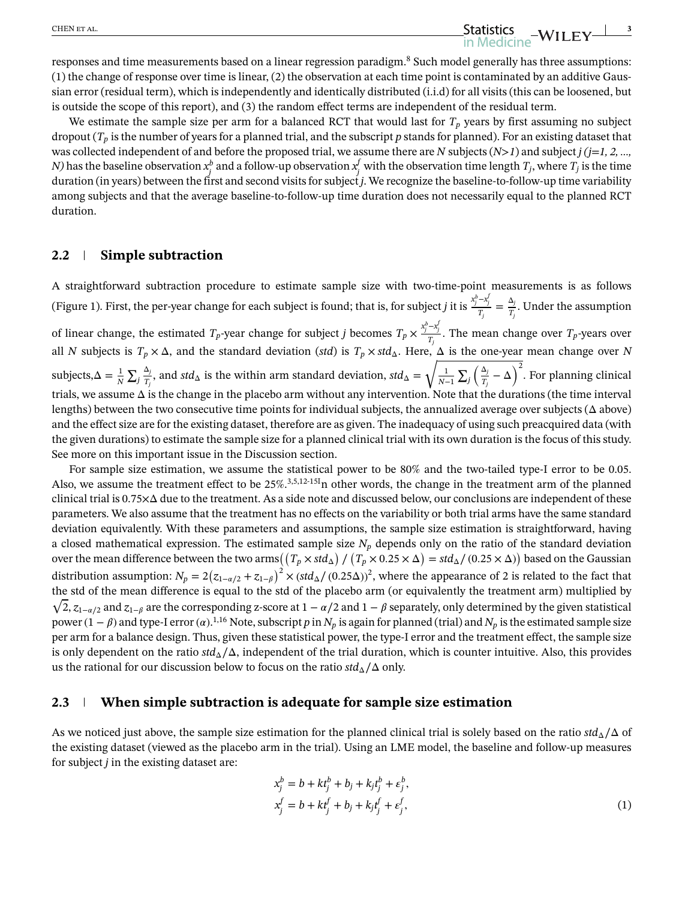responses and time measurements based on a linear regression paradigm.<sup>8</sup> Such model generally has three assumptions: (1) the change of response over time is linear, (2) the observation at each time point is contaminated by an additive Gaussian error (residual term), which is independently and identically distributed (i.i.d) for all visits (this can be loosened, but is outside the scope of this report), and (3) the random effect terms are independent of the residual term.

We estimate the sample size per arm for a balanced RCT that would last for  $T_p$  years by first assuming no subject dropout (*Tp* is the number of years for a planned trial, and the subscript *p* stands for planned). For an existing dataset that was collected independent of and before the proposed trial, we assume there are *N* subjects (*N>1*) and subject *j (j*=*1, 2, …, N)* has the baseline observation  $x_j^b$  and a follow-up observation  $x_j^f$  with the observation time length  $T_j$ , where  $T_j$  is the time duration (in years) between the first and second visits for subject *j*. We recognize the baseline-to-follow-up time variability among subjects and that the average baseline-to-follow-up time duration does not necessarily equal to the planned RCT duration.

#### **2.2 Simple subtraction**

A straightforward subtraction procedure to estimate sample size with two-time-point measurements is as follows (Figure 1). First, the per-year change for each subject is found; that is, for subject *j* it is  $\frac{x_j^b - x_j^f}{T_j} = \frac{\Delta_j}{T_j}$ . Under the assumption of linear change, the estimated  $T_p$ -year change for subject *j* becomes  $T_p \times \frac{x_j^b - x_j^f}{T_j}$ . The mean change over  $T_p$ -years over all *N* subjects is  $T_p \times \Delta$ , and the standard deviation (*std*) is  $T_p \times std_\Delta$ . Here,  $\Delta$  is the one-year mean change over *N* subjects, $\Delta = \frac{1}{N} \sum_j$ Δ*j*  $\frac{dy}{dt}$ , and *std*<sub>Δ</sub> is the within arm standard deviation, *std*<sub>Δ</sub> =  $\frac{1}{1}$  $\frac{1}{N-1}$   $\sum_j$   $\left(\frac{\Delta_j}{T_j}\right)$  $\frac{\Delta_j}{T_j} - \Delta$ )<sup>2</sup>. For planning clinical trials, we assume  $\Delta$  is the change in the placebo arm without any intervention. Note that the durations (the time interval lengths) between the two consecutive time points for individual subjects, the annualized average over subjects ( $\Delta$  above) and the effect size are for the existing dataset, therefore are as given. The inadequacy of using such preacquired data (with the given durations) to estimate the sample size for a planned clinical trial with its own duration is the focus of this study. See more on this important issue in the Discussion section.

For sample size estimation, we assume the statistical power to be 80% and the two-tailed type-I error to be 0.05. Also, we assume the treatment effect to be 25%.<sup>3,5,12-15I</sup>n other words, the change in the treatment arm of the planned clinical trial is  $0.75\times\Delta$  due to the treatment. As a side note and discussed below, our conclusions are independent of these parameters. We also assume that the treatment has no effects on the variability or both trial arms have the same standard deviation equivalently. With these parameters and assumptions, the sample size estimation is straightforward, having a closed mathematical expression. The estimated sample size  $N_p$  depends only on the ratio of the standard deviation over the mean difference between the two arms $((T_p\times std_\Delta)$  /  $(T_p\times 0.25\times\Delta)=std_\Delta/$   $(0.25\times\Delta))$  based on the Gaussian distribution assumption:  $N_p = 2(z_{1-a/2} + z_{1-\beta})^2 \times (std_\Delta/(0.25\Delta))^2$ , where the appearance of 2 is related to the fact that the std of the mean difference is equal to the std of the placebo arm (or equivalently the treatment arm) multiplied by  $\sqrt{2}$ ,  $z_{1-\alpha/2}$  and  $z_{1-\beta}$  are the corresponding z-score at  $1-\alpha/2$  and  $1-\beta$  separately, only determined by the given statistical power (1 −  $\beta$ ) and type-I error ( $\alpha$ ).<sup>1,16</sup> Note, subscript  $p$  in  $N_p$  is again for planned (trial) and  $N_p$  is the estimated sample size per arm for a balance design. Thus, given these statistical power, the type-I error and the treatment effect, the sample size is only dependent on the ratio *std*Δ∕Δ, independent of the trial duration, which is counter intuitive. Also, this provides us the rational for our discussion below to focus on the ratio  $std_\Delta/\Delta$  only.

#### **2.3 When simple subtraction is adequate for sample size estimation**

As we noticed just above, the sample size estimation for the planned clinical trial is solely based on the ratio  $std_\Delta/\Delta$  of the existing dataset (viewed as the placebo arm in the trial). Using an LME model, the baseline and follow-up measures for subject *j* in the existing dataset are:

$$
x_j^b = b + kt_j^b + b_j + k_j t_j^b + \varepsilon_j^b, x_j^f = b + kt_j^f + b_j + k_j t_j^f + \varepsilon_j^f,
$$
 (1)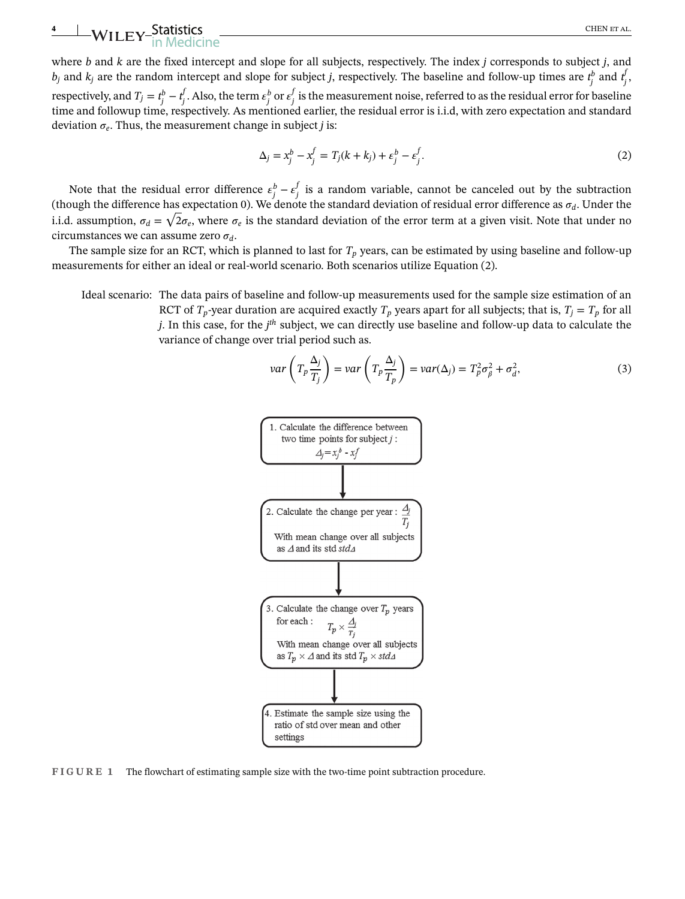# <del>4</del> WILEY-Statistics CHEN ET AL. CHEN ET AL.

where *b* and *k* are the fixed intercept and slope for all subjects, respectively. The index *j* corresponds to subject *j*, and *b*<sub>j</sub> and *k*<sub>j</sub> are the random intercept and slope for subject *j*, respectively. The baseline and follow-up times are  $t_j^b$  and  $t_j^l$ *j* , respectively, and  $T_j = t_j^b - t_j^b$  $f_j$ . Also, the term  $\varepsilon_j^b$  or  $\varepsilon_j^f$  is the measurement noise, referred to as the residual error for baseline time and followup time, respectively. As mentioned earlier, the residual error is i.i.d, with zero expectation and standard deviation  $\sigma_e$ . Thus, the measurement change in subject *j* is:

$$
\Delta_j = x_j^b - x_j^f = T_j(k + k_j) + \varepsilon_j^b - \varepsilon_j^f. \tag{2}
$$

Note that the residual error difference  $\varepsilon_j^b - \varepsilon_j^f$  is a random variable, cannot be canceled out by the subtraction (though the difference has expectation 0). We denote the standard deviation of residual error difference as  $\sigma_d$ . Under the i.i.d. assumption,  $\sigma_d=\sqrt{2}\sigma_e,$  where  $\sigma_e$  is the standard deviation of the error term at a given visit. Note that under no circumstances we can assume zero  $\sigma_d$ .

The sample size for an RCT, which is planned to last for  $T_p$  years, can be estimated by using baseline and follow-up measurements for either an ideal or real-world scenario. Both scenarios utilize Equation (2).

Ideal scenario: The data pairs of baseline and follow-up measurements used for the sample size estimation of an RCT of  $T_p$ -year duration are acquired exactly  $T_p$  years apart for all subjects; that is,  $T_i = T_p$  for all *j*. In this case, for the *j th* subject, we can directly use baseline and follow-up data to calculate the variance of change over trial period such as.

$$
var\left(T_p \frac{\Delta_j}{T_j}\right) = var\left(T_p \frac{\Delta_j}{T_p}\right) = var(\Delta_j) = T_p^2 \sigma_\beta^2 + \sigma_d^2,
$$
\n(3)



**FIGURE 1** The flowchart of estimating sample size with the two-time point subtraction procedure.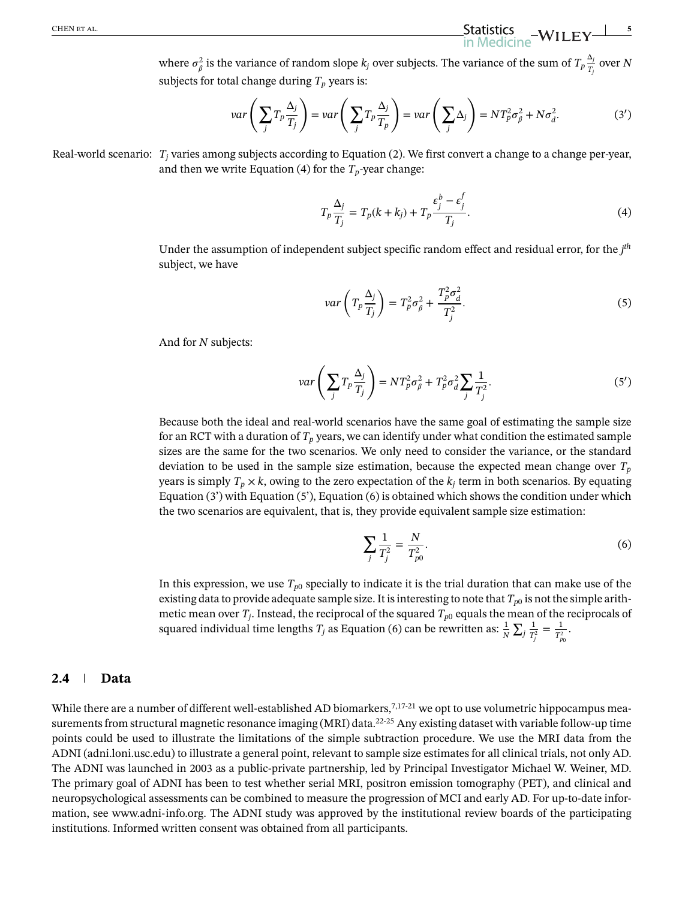where  $\sigma_{\beta}^2$  is the variance of random slope  $k_j$  over subjects. The variance of the sum of  $T_p\frac{\Delta_j}{T_i}$  $\frac{\overline{U}}{T_j}$  over *N* subjects for total change during  $T_p$  years is:

$$
var\left(\sum_{j} T_{p} \frac{\Delta_{j}}{T_{j}}\right) = var\left(\sum_{j} T_{p} \frac{\Delta_{j}}{T_{p}}\right) = var\left(\sum_{j} \Delta_{j}\right) = NT_{p}^{2} \sigma_{\beta}^{2} + N \sigma_{d}^{2}.
$$
 (3')

Real-world scenario: *T<sub>i</sub>* varies among subjects according to Equation (2). We first convert a change to a change per-year, and then we write Equation (4) for the  $T_p$ -year change:

$$
T_p \frac{\Delta_j}{T_j} = T_p(k + k_j) + T_p \frac{\varepsilon_j^b - \varepsilon_j^f}{T_j}.
$$
\n(4)

Under the assumption of independent subject specific random effect and residual error, for the *j th* subject, we have

$$
var\left(T_p \frac{\Delta_j}{T_j}\right) = T_p^2 \sigma_\beta^2 + \frac{T_p^2 \sigma_d^2}{T_j^2}.
$$
\n<sup>(5)</sup>

And for *N* subjects:

$$
var\left(\sum_{j} T_p \frac{\Delta_j}{T_j}\right) = NT_p^2 \sigma_\beta^2 + T_p^2 \sigma_d^2 \sum_{j} \frac{1}{T_j^2}.
$$
 (5')

Because both the ideal and real-world scenarios have the same goal of estimating the sample size for an RCT with a duration of  $T_p$  years, we can identify under what condition the estimated sample sizes are the same for the two scenarios. We only need to consider the variance, or the standard deviation to be used in the sample size estimation, because the expected mean change over  $T_p$ years is simply  $T_p \times k$ , owing to the zero expectation of the  $k_j$  term in both scenarios. By equating Equation  $(3')$  with Equation  $(5')$ , Equation  $(6)$  is obtained which shows the condition under which the two scenarios are equivalent, that is, they provide equivalent sample size estimation:

$$
\sum_{j} \frac{1}{T_{j}^{2}} = \frac{N}{T_{p0}^{2}}.
$$
\n(6)

In this expression, we use  $T_{p0}$  specially to indicate it is the trial duration that can make use of the existing data to provide adequate sample size. It is interesting to note that  $T_{p0}$  is not the simple arithmetic mean over  $T_j$ . Instead, the reciprocal of the squared  $T_{p0}$  equals the mean of the reciprocals of squared individual time lengths  $T_j$  as Equation (6) can be rewritten as:  $\frac{1}{N}\sum_j\frac{1}{T_j}$  $\frac{1}{T_j^2} = \frac{1}{T_{p_0}^2}$ .

#### **2.4 Data**

While there are a number of different well-established AD biomarkers,<sup>7,17-21</sup> we opt to use volumetric hippocampus measurements from structural magnetic resonance imaging (MRI) data.<sup>22-25</sup> Any existing dataset with variable follow-up time points could be used to illustrate the limitations of the simple subtraction procedure. We use the MRI data from the ADNI (adni.loni.usc.edu) to illustrate a general point, relevant to sample size estimates for all clinical trials, not only AD. The ADNI was launched in 2003 as a public-private partnership, led by Principal Investigator Michael W. Weiner, MD. The primary goal of ADNI has been to test whether serial MRI, positron emission tomography (PET), and clinical and neuropsychological assessments can be combined to measure the progression of MCI and early AD. For up-to-date information, see [www.adni-info.org.](http://www.adni-info.org) The ADNI study was approved by the institutional review boards of the participating institutions. Informed written consent was obtained from all participants.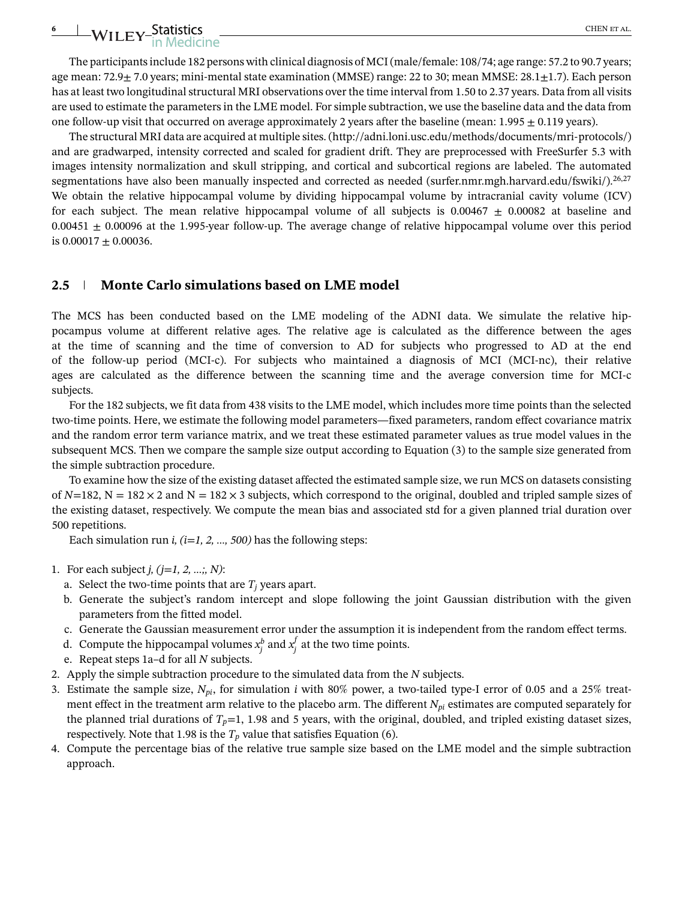# **6** WILEY-Statistics CHEN ET AL.

The participants include 182 persons with clinical diagnosis of MCI (male/female: 108/74; age range: 57.2 to 90.7 years; age mean:  $72.9\pm 7.0$  years; mini-mental state examination (MMSE) range: 22 to 30; mean MMSE:  $28.1\pm 1.7$ ). Each person has at least two longitudinal structural MRI observations over the time interval from 1.50 to 2.37 years. Data from all visits are used to estimate the parameters in the LME model. For simple subtraction, we use the baseline data and the data from one follow-up visit that occurred on average approximately 2 years after the baseline (mean: 1.995  $\pm$  0.119 years).

The structural MRI data are acquired at multiple sites. [\(http://adni.loni.usc.edu/methods/documents/mri-protocols/\)](http://adni.loni.usc.edu/methods/documents/mri-protocols/) and are gradwarped, intensity corrected and scaled for gradient drift. They are preprocessed with FreeSurfer 5.3 with images intensity normalization and skull stripping, and cortical and subcortical regions are labeled. The automated segmentations have also been manually inspected and corrected as needed (surfer.nmr.mgh.harvard.edu/fswiki/).<sup>26,27</sup> We obtain the relative hippocampal volume by dividing hippocampal volume by intracranial cavity volume (ICV) for each subject. The mean relative hippocampal volume of all subjects is  $0.00467 \pm 0.00082$  at baseline and 0.00451  $\pm$  0.00096 at the 1.995-year follow-up. The average change of relative hippocampal volume over this period is  $0.00017 \pm 0.00036$ .

#### **2.5 Monte Carlo simulations based on LME model**

The MCS has been conducted based on the LME modeling of the ADNI data. We simulate the relative hippocampus volume at different relative ages. The relative age is calculated as the difference between the ages at the time of scanning and the time of conversion to AD for subjects who progressed to AD at the end of the follow-up period (MCI-c). For subjects who maintained a diagnosis of MCI (MCI-nc), their relative ages are calculated as the difference between the scanning time and the average conversion time for MCI-c subjects.

For the 182 subjects, we fit data from 438 visits to the LME model, which includes more time points than the selected two-time points. Here, we estimate the following model parameters—fixed parameters, random effect covariance matrix and the random error term variance matrix, and we treat these estimated parameter values as true model values in the subsequent MCS. Then we compare the sample size output according to Equation (3) to the sample size generated from the simple subtraction procedure.

To examine how the size of the existing dataset affected the estimated sample size, we run MCS on datasets consisting of  $N=182$ ,  $N = 182 \times 2$  and  $N = 182 \times 3$  subjects, which correspond to the original, doubled and tripled sample sizes of the existing dataset, respectively. We compute the mean bias and associated std for a given planned trial duration over 500 repetitions.

Each simulation run *i, (i*=*1, 2, …, 500)* has the following steps:

- 1. For each subject *j, (j*=*1, 2, …;, N)*:
	- a. Select the two-time points that are  $T_i$  years apart.
	- b. Generate the subject's random intercept and slope following the joint Gaussian distribution with the given parameters from the fitted model.
	- c. Generate the Gaussian measurement error under the assumption it is independent from the random effect terms.
	- d. Compute the hippocampal volumes  $x_j^b$  and  $x_j^f$  at the two time points.
	- e. Repeat steps 1a–d for all *N* subjects.
- 2. Apply the simple subtraction procedure to the simulated data from the *N* subjects.
- 3. Estimate the sample size, *Npi*, for simulation *i* with 80% power, a two-tailed type-I error of 0.05 and a 25% treatment effect in the treatment arm relative to the placebo arm. The different *Npi* estimates are computed separately for the planned trial durations of  $T_p=1$ , 1.98 and 5 years, with the original, doubled, and tripled existing dataset sizes, respectively. Note that 1.98 is the  $T_p$  value that satisfies Equation (6).
- 4. Compute the percentage bias of the relative true sample size based on the LME model and the simple subtraction approach.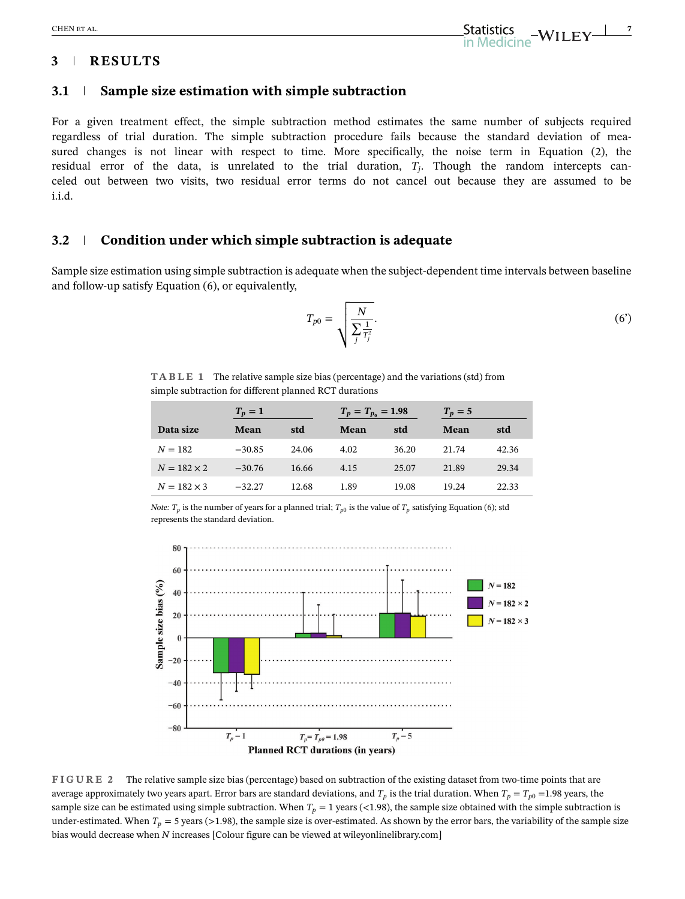# **3 RESULTS**

## **3.1 Sample size estimation with simple subtraction**

For a given treatment effect, the simple subtraction method estimates the same number of subjects required regardless of trial duration. The simple subtraction procedure fails because the standard deviation of measured changes is not linear with respect to time. More specifically, the noise term in Equation (2), the residual error of the data, is unrelated to the trial duration, *Tj*. Though the random intercepts canceled out between two visits, two residual error terms do not cancel out because they are assumed to be i.i.d.

#### **3.2 Condition under which simple subtraction is adequate**

Sample size estimation using simple subtraction is adequate when the subject-dependent time intervals between baseline and follow-up satisfy Equation (6), or equivalently,

$$
T_{p0} = \sqrt{\frac{N}{\sum_{j}^{\frac{1}{T_j^2}}}}.
$$
 (6')

**TABLE 1** The relative sample size bias (percentage) and the variations (std) from simple subtraction for different planned RCT durations

|                    | $T_p=1$  |       | $T_p = T_{p_0} = 1.98$ |       | $T_p=5$ |       |
|--------------------|----------|-------|------------------------|-------|---------|-------|
| Data size          | Mean     | std   | Mean                   | std   | Mean    | std   |
| $N = 182$          | $-30.85$ | 24.06 | 4.02                   | 36.20 | 21.74   | 42.36 |
| $N = 182 \times 2$ | $-30.76$ | 16.66 | 4.15                   | 25.07 | 21.89   | 29.34 |
| $N = 182 \times 3$ | $-32.27$ | 12.68 | 1.89                   | 19.08 | 19.24   | 22.33 |

*Note:*  $T_p$  is the number of years for a planned trial;  $T_{p0}$  is the value of  $T_p$  satisfying Equation (6); std represents the standard deviation.



**FIGURE 2** The relative sample size bias (percentage) based on subtraction of the existing dataset from two-time points that are average approximately two years apart. Error bars are standard deviations, and  $T_p$  is the trial duration. When  $T_p = T_{p0} = 1.98$  years, the sample size can be estimated using simple subtraction. When  $T_p = 1$  years (<1.98), the sample size obtained with the simple subtraction is under-estimated. When  $T_p = 5$  years (>1.98), the sample size is over-estimated. As shown by the error bars, the variability of the sample size bias would decrease when *N* increases [Colour figure can be viewed at [wileyonlinelibrary.com\]](http://wileyonlinelibrary.com)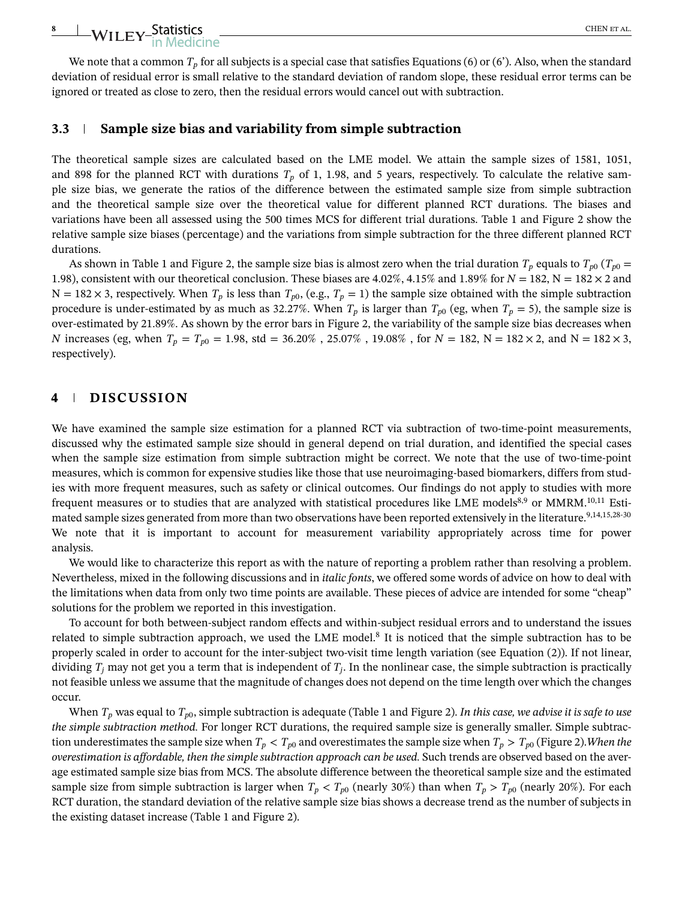# **8 WILEY-Statistics** CHEN ET ALCOHOL

## **3.3 Sample size bias and variability from simple subtraction**

The theoretical sample sizes are calculated based on the LME model. We attain the sample sizes of 1581, 1051, and 898 for the planned RCT with durations  $T_p$  of 1, 1.98, and 5 years, respectively. To calculate the relative sample size bias, we generate the ratios of the difference between the estimated sample size from simple subtraction and the theoretical sample size over the theoretical value for different planned RCT durations. The biases and variations have been all assessed using the 500 times MCS for different trial durations. Table 1 and Figure 2 show the relative sample size biases (percentage) and the variations from simple subtraction for the three different planned RCT durations.

As shown in Table 1 and Figure 2, the sample size bias is almost zero when the trial duration  $T_p$  equals to  $T_{p0}$  ( $T_{p0}$  = 1.98), consistent with our theoretical conclusion. These biases are  $4.02\%$ ,  $4.15\%$  and  $1.89\%$  for  $N = 182$ ,  $N = 182 \times 2$  and  $N = 182 \times 3$ , respectively. When  $T_p$  is less than  $T_{p0}$ , (e.g.,  $T_p = 1$ ) the sample size obtained with the simple subtraction procedure is under-estimated by as much as 32.27%. When  $T_p$  is larger than  $T_{p0}$  (eg, when  $T_p = 5$ ), the sample size is over-estimated by 21.89%. As shown by the error bars in Figure 2, the variability of the sample size bias decreases when *N* increases (eg, when  $T_p = T_{p0} = 1.98$ , std = 36.20%, 25.07%, 19.08%, for  $N = 182$ ,  $N = 182 \times 2$ , and  $N = 182 \times 3$ , respectively).

# **4 DISCUSSION**

We have examined the sample size estimation for a planned RCT via subtraction of two-time-point measurements, discussed why the estimated sample size should in general depend on trial duration, and identified the special cases when the sample size estimation from simple subtraction might be correct. We note that the use of two-time-point measures, which is common for expensive studies like those that use neuroimaging-based biomarkers, differs from studies with more frequent measures, such as safety or clinical outcomes. Our findings do not apply to studies with more frequent measures or to studies that are analyzed with statistical procedures like LME models<sup>8,9</sup> or MMRM.<sup>10,11</sup> Estimated sample sizes generated from more than two observations have been reported extensively in the literature.<sup>9,14,15,28-30</sup> We note that it is important to account for measurement variability appropriately across time for power analysis.

We would like to characterize this report as with the nature of reporting a problem rather than resolving a problem. Nevertheless, mixed in the following discussions and in *italic fonts*, we offered some words of advice on how to deal with the limitations when data from only two time points are available. These pieces of advice are intended for some "cheap" solutions for the problem we reported in this investigation.

To account for both between-subject random effects and within-subject residual errors and to understand the issues related to simple subtraction approach, we used the LME model.8 It is noticed that the simple subtraction has to be properly scaled in order to account for the inter-subject two-visit time length variation (see Equation (2)). If not linear, dividing  $T_j$  may not get you a term that is independent of  $T_j$ . In the nonlinear case, the simple subtraction is practically not feasible unless we assume that the magnitude of changes does not depend on the time length over which the changes occur.

When *Tp* was equal to *Tp*0, simple subtraction is adequate (Table 1 and Figure 2). *In this case, we advise it is safe to use the simple subtraction method.* For longer RCT durations, the required sample size is generally smaller. Simple subtraction underestimates the sample size when  $T_p < T_{p0}$  and overestimates the sample size when  $T_p > T_{p0}$  (Figure 2). When the *overestimation is affordable, then the simple subtraction approach can be used.* Such trends are observed based on the average estimated sample size bias from MCS. The absolute difference between the theoretical sample size and the estimated sample size from simple subtraction is larger when  $T_p < T_{p0}$  (nearly 30%) than when  $T_p > T_{p0}$  (nearly 20%). For each RCT duration, the standard deviation of the relative sample size bias shows a decrease trend as the number of subjects in the existing dataset increase (Table 1 and Figure 2).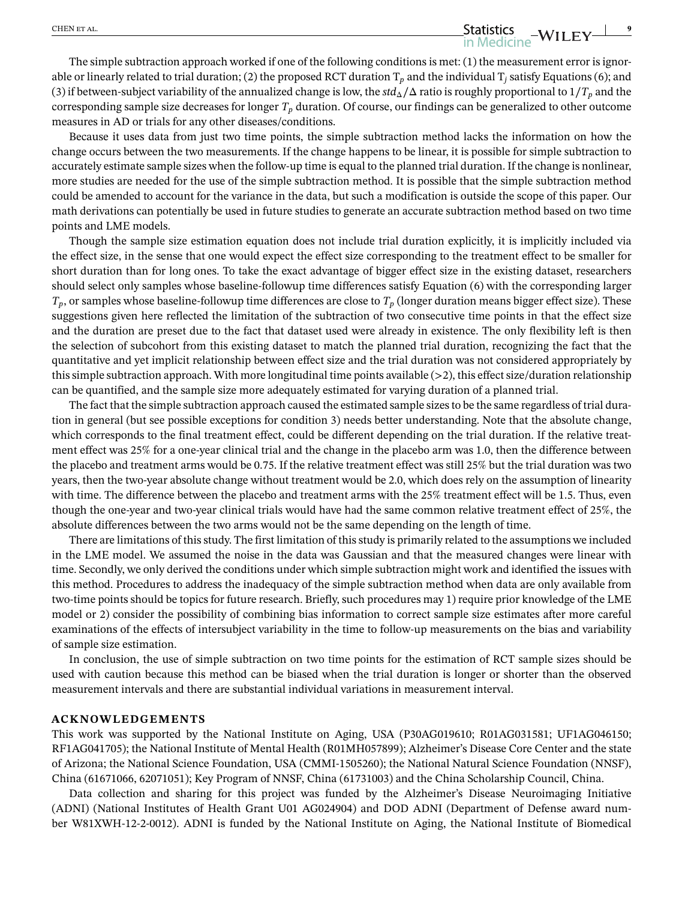# The simple subtraction approach worked if one of the following conditions is met: (1) the measurement error is ignorable or linearly related to trial duration; (2) the proposed RCT duration  $T_p$  and the individual  $T_j$  satisfy Equations (6); and (3) if between-subject variability of the annualized change is low, the  $std_\Delta/\Delta$  ratio is roughly proportional to  $1/T_p$  and the corresponding sample size decreases for longer  $T_p$  duration. Of course, our findings can be generalized to other outcome measures in AD or trials for any other diseases/conditions.

Because it uses data from just two time points, the simple subtraction method lacks the information on how the change occurs between the two measurements. If the change happens to be linear, it is possible for simple subtraction to accurately estimate sample sizes when the follow-up time is equal to the planned trial duration. If the change is nonlinear, more studies are needed for the use of the simple subtraction method. It is possible that the simple subtraction method could be amended to account for the variance in the data, but such a modification is outside the scope of this paper. Our math derivations can potentially be used in future studies to generate an accurate subtraction method based on two time points and LME models.

Though the sample size estimation equation does not include trial duration explicitly, it is implicitly included via the effect size, in the sense that one would expect the effect size corresponding to the treatment effect to be smaller for short duration than for long ones. To take the exact advantage of bigger effect size in the existing dataset, researchers should select only samples whose baseline-followup time differences satisfy Equation (6) with the corresponding larger *Tp*, or samples whose baseline-followup time differences are close to *Tp* (longer duration means bigger effect size). These suggestions given here reflected the limitation of the subtraction of two consecutive time points in that the effect size and the duration are preset due to the fact that dataset used were already in existence. The only flexibility left is then the selection of subcohort from this existing dataset to match the planned trial duration, recognizing the fact that the quantitative and yet implicit relationship between effect size and the trial duration was not considered appropriately by this simple subtraction approach. With more longitudinal time points available (*>*2), this effect size/duration relationship can be quantified, and the sample size more adequately estimated for varying duration of a planned trial.

The fact that the simple subtraction approach caused the estimated sample sizes to be the same regardless of trial duration in general (but see possible exceptions for condition 3) needs better understanding. Note that the absolute change, which corresponds to the final treatment effect, could be different depending on the trial duration. If the relative treatment effect was 25% for a one-year clinical trial and the change in the placebo arm was 1.0, then the difference between the placebo and treatment arms would be 0.75. If the relative treatment effect was still 25% but the trial duration was two years, then the two-year absolute change without treatment would be 2.0, which does rely on the assumption of linearity with time. The difference between the placebo and treatment arms with the 25% treatment effect will be 1.5. Thus, even though the one-year and two-year clinical trials would have had the same common relative treatment effect of 25%, the absolute differences between the two arms would not be the same depending on the length of time.

There are limitations of this study. The first limitation of this study is primarily related to the assumptions we included in the LME model. We assumed the noise in the data was Gaussian and that the measured changes were linear with time. Secondly, we only derived the conditions under which simple subtraction might work and identified the issues with this method. Procedures to address the inadequacy of the simple subtraction method when data are only available from two-time points should be topics for future research. Briefly, such procedures may 1) require prior knowledge of the LME model or 2) consider the possibility of combining bias information to correct sample size estimates after more careful examinations of the effects of intersubject variability in the time to follow-up measurements on the bias and variability of sample size estimation.

In conclusion, the use of simple subtraction on two time points for the estimation of RCT sample sizes should be used with caution because this method can be biased when the trial duration is longer or shorter than the observed measurement intervals and there are substantial individual variations in measurement interval.

#### **ACKNOWLEDGEMENTS**

This work was supported by the National Institute on Aging, USA (P30AG019610; R01AG031581; UF1AG046150; RF1AG041705); the National Institute of Mental Health (R01MH057899); Alzheimer's Disease Core Center and the state of Arizona; the National Science Foundation, USA (CMMI-1505260); the National Natural Science Foundation (NNSF), China (61671066, 62071051); Key Program of NNSF, China (61731003) and the China Scholarship Council, China.

Data collection and sharing for this project was funded by the Alzheimer's Disease Neuroimaging Initiative (ADNI) (National Institutes of Health Grant U01 AG024904) and DOD ADNI (Department of Defense award number W81XWH-12-2-0012). ADNI is funded by the National Institute on Aging, the National Institute of Biomedical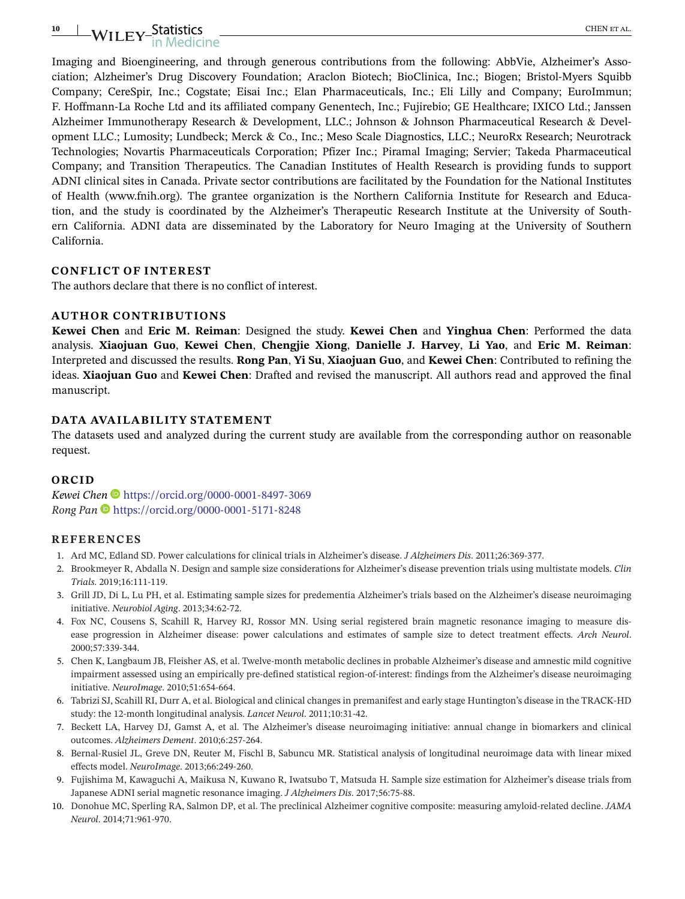# **10** CHEN et al.

Imaging and Bioengineering, and through generous contributions from the following: AbbVie, Alzheimer's Association; Alzheimer's Drug Discovery Foundation; Araclon Biotech; BioClinica, Inc.; Biogen; Bristol-Myers Squibb Company; CereSpir, Inc.; Cogstate; Eisai Inc.; Elan Pharmaceuticals, Inc.; Eli Lilly and Company; EuroImmun; F. Hoffmann-La Roche Ltd and its affiliated company Genentech, Inc.; Fujirebio; GE Healthcare; IXICO Ltd.; Janssen Alzheimer Immunotherapy Research & Development, LLC.; Johnson & Johnson Pharmaceutical Research & Development LLC.; Lumosity; Lundbeck; Merck & Co., Inc.; Meso Scale Diagnostics, LLC.; NeuroRx Research; Neurotrack Technologies; Novartis Pharmaceuticals Corporation; Pfizer Inc.; Piramal Imaging; Servier; Takeda Pharmaceutical Company; and Transition Therapeutics. The Canadian Institutes of Health Research is providing funds to support ADNI clinical sites in Canada. Private sector contributions are facilitated by the Foundation for the National Institutes of Health (www.fnih.org). The grantee organization is the Northern California Institute for Research and Education, and the study is coordinated by the Alzheimer's Therapeutic Research Institute at the University of Southern California. ADNI data are disseminated by the Laboratory for Neuro Imaging at the University of Southern California.

#### **CONFLICT OF INTEREST**

The authors declare that there is no conflict of interest.

#### **AUTHOR CONTRIBUTIONS**

**Kewei Chen** and **Eric M. Reiman**: Designed the study. **Kewei Chen** and **Yinghua Chen**: Performed the data analysis. **Xiaojuan Guo**, **Kewei Chen**, **Chengjie Xiong**, **Danielle J. Harvey**, **Li Yao**, and **Eric M. Reiman**: Interpreted and discussed the results. **Rong Pan**, **Yi Su**, **Xiaojuan Guo**, and **Kewei Chen**: Contributed to refining the ideas. **Xiaojuan Guo** and **Kewei Chen**: Drafted and revised the manuscript. All authors read and approved the final manuscript.

#### **DATA AVAILABILITY STATEMENT**

The datasets used and analyzed during the current study are available from the corresponding author on reasonable request.

#### **ORCID**

*Kewei Chen* <https://orcid.org/0000-0001-8497-3069> *Rong Pan* <https://orcid.org/0000-0001-5171-8248>

#### **REFERENCES**

- 1. Ard MC, Edland SD. Power calculations for clinical trials in Alzheimer's disease. *J Alzheimers Dis*. 2011;26:369-377.
- 2. Brookmeyer R, Abdalla N. Design and sample size considerations for Alzheimer's disease prevention trials using multistate models. *Clin Trials*. 2019;16:111-119.
- 3. Grill JD, Di L, Lu PH, et al. Estimating sample sizes for predementia Alzheimer's trials based on the Alzheimer's disease neuroimaging initiative. *Neurobiol Aging*. 2013;34:62-72.
- 4. Fox NC, Cousens S, Scahill R, Harvey RJ, Rossor MN. Using serial registered brain magnetic resonance imaging to measure disease progression in Alzheimer disease: power calculations and estimates of sample size to detect treatment effects. *Arch Neurol*. 2000;57:339-344.
- 5. Chen K, Langbaum JB, Fleisher AS, et al. Twelve-month metabolic declines in probable Alzheimer's disease and amnestic mild cognitive impairment assessed using an empirically pre-defined statistical region-of-interest: findings from the Alzheimer's disease neuroimaging initiative. *NeuroImage*. 2010;51:654-664.
- 6. Tabrizi SJ, Scahill RI, Durr A, et al. Biological and clinical changes in premanifest and early stage Huntington's disease in the TRACK-HD study: the 12-month longitudinal analysis. *Lancet Neurol*. 2011;10:31-42.
- 7. Beckett LA, Harvey DJ, Gamst A, et al. The Alzheimer's disease neuroimaging initiative: annual change in biomarkers and clinical outcomes. *Alzheimers Dement*. 2010;6:257-264.
- 8. Bernal-Rusiel JL, Greve DN, Reuter M, Fischl B, Sabuncu MR. Statistical analysis of longitudinal neuroimage data with linear mixed effects model. *NeuroImage*. 2013;66:249-260.
- 9. Fujishima M, Kawaguchi A, Maikusa N, Kuwano R, Iwatsubo T, Matsuda H. Sample size estimation for Alzheimer's disease trials from Japanese ADNI serial magnetic resonance imaging. *J Alzheimers Dis*. 2017;56:75-88.
- 10. Donohue MC, Sperling RA, Salmon DP, et al. The preclinical Alzheimer cognitive composite: measuring amyloid-related decline. *JAMA Neurol*. 2014;71:961-970.